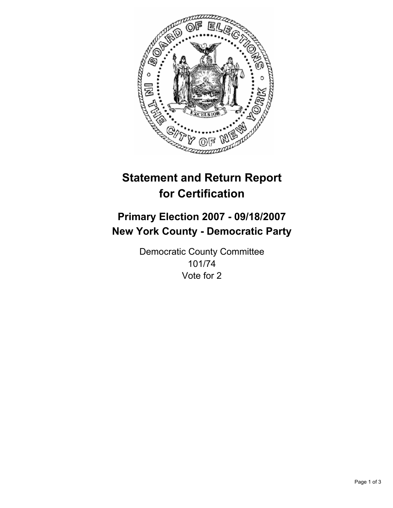

# **Statement and Return Report for Certification**

## **Primary Election 2007 - 09/18/2007 New York County - Democratic Party**

Democratic County Committee 101/74 Vote for 2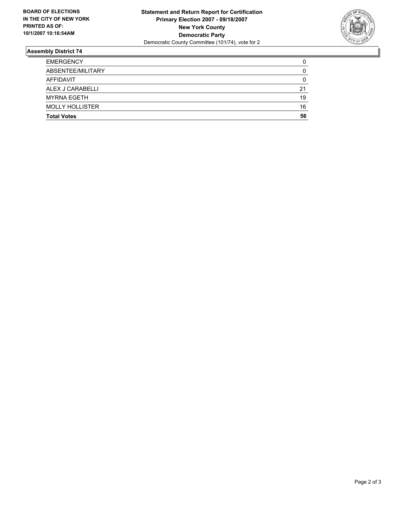

### **Assembly District 74**

| <b>EMERGENCY</b>       |    |
|------------------------|----|
| ABSENTEE/MILITARY      |    |
| AFFIDAVIT              |    |
| ALEX J CARABELLI       | 21 |
| <b>MYRNA EGETH</b>     | 19 |
| <b>MOLLY HOLLISTER</b> | 16 |
| <b>Total Votes</b>     | 56 |